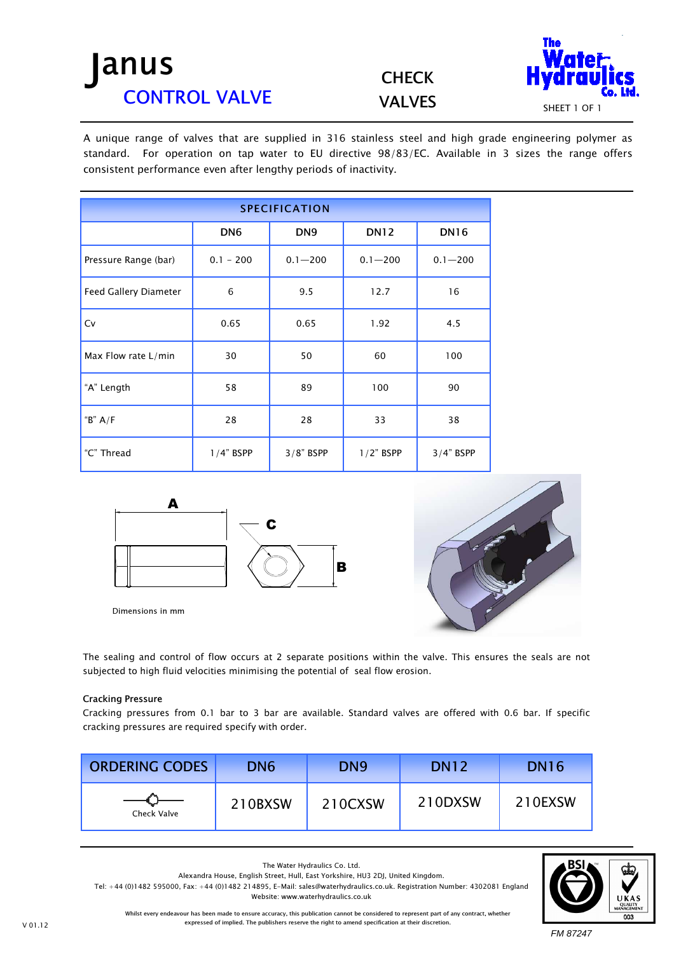## anus CONTROL VALVE

**CHECK** 



A unique range of valves that are supplied in 316 stainless steel and high grade engineering polymer as standard. For operation on tap water to EU directive 98/83/EC. Available in 3 sizes the range offers consistent performance even after lengthy periods of inactivity.

| <b>SPECIFICATION</b>  |                 |                 |              |             |  |  |
|-----------------------|-----------------|-----------------|--------------|-------------|--|--|
|                       | DN <sub>6</sub> | DN <sub>9</sub> | <b>DN12</b>  | <b>DN16</b> |  |  |
| Pressure Range (bar)  | $0.1 - 200$     | $0.1 - 200$     | $0.1 - 200$  | $0.1 - 200$ |  |  |
| Feed Gallery Diameter | 6               | 9.5             | 12.7         | 16          |  |  |
| Cv                    | 0.65            | 0.65            | 1.92         | 4.5         |  |  |
| Max Flow rate L/min   | 30              | 50              | 60           | 100         |  |  |
| "A" Length            | 58              | 89              | 100          | 90          |  |  |
| " $B$ " $A/F$         | 28              | 28              | 33           | 38          |  |  |
| "C" Thread            | $1/4$ " BSPP    | $3/8"$ BSPP     | $1/2$ " BSPP | $3/4"$ BSPP |  |  |



Dimensions in mm



The sealing and control of flow occurs at 2 separate positions within the valve. This ensures the seals are not subjected to high fluid velocities minimising the potential of seal flow erosion.

## Cracking Pressure

Cracking pressures from 0.1 bar to 3 bar are available. Standard valves are offered with 0.6 bar. If specific cracking pressures are required specify with order.

| <b>ORDERING CODES</b> | DN <sub>6</sub> | DN <sub>9</sub> | <b>DN12</b> | <b>DN16</b> |
|-----------------------|-----------------|-----------------|-------------|-------------|
| Check Valve           | 210BXSW         | 210CXSW         | 210DXSW     | 210EXSW     |



Whilst every endeavour has been made to ensure accuracy, this publication cannot be considered to represent part of any contract, whether Website: www.waterhydraulics.co.uk

The Water Hydraulics Co. Ltd. Alexandra House, English Street, Hull, East Yorkshire, HU3 2DJ, United Kingdom.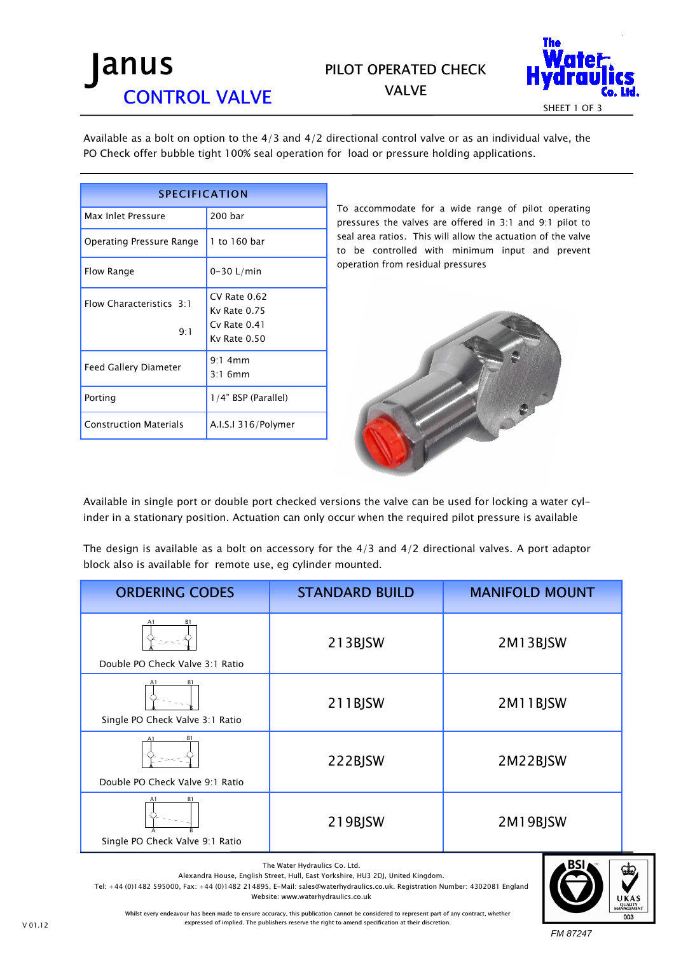## anus CONTROL VALVE

## PILOT OPERATED CHECK VALVE



Available as a bolt on option to the 4/3 and 4/2 directional control valve or as an individual valve, the PO Check offer bubble tight 100% seal operation for load or pressure holding applications.

| <b>SPECIFICATION</b>            |                                                                      |  |  |  |
|---------------------------------|----------------------------------------------------------------------|--|--|--|
| Max Inlet Pressure              | 200 bar                                                              |  |  |  |
| Operating Pressure Range        | 1 to 160 bar                                                         |  |  |  |
| Flow Range                      | $0-30$ L/min                                                         |  |  |  |
| Flow Characteristics 3:1<br>9:1 | $CV$ Rate $0.62$<br>Kv Rate 0.75<br>$Cv$ Rate $0.41$<br>Ky Rate 0.50 |  |  |  |
| <b>Feed Gallery Diameter</b>    | $9:1$ 4mm<br>$3.1$ 6mm                                               |  |  |  |
| Porting                         | 1/4" BSP (Parallel)                                                  |  |  |  |
| <b>Construction Materials</b>   | A.I.S.I 316/Polymer                                                  |  |  |  |

*To accommodate for a wide range of pilot operating pressures the valves are offered in 3:1 and 9:1 pilot to seal area ratios. This will allow the actuation of the valve to be controlled with minimum input and prevent operation from residual pressures* 



Available in single port or double port checked versions the valve can be used for locking a water cylinder in a stationary position. Actuation can only occur when the required pilot pressure is available

The design is available as a bolt on accessory for the  $4/3$  and  $4/2$  directional valves. A port adaptor block also is available for remote use, eg cylinder mounted.

| <b>ORDERING CODES</b>                                   | <b>STANDARD BUILD</b> | <b>MANIFOLD MOUNT</b> |
|---------------------------------------------------------|-----------------------|-----------------------|
| B1<br>A1<br>Double PO Check Valve 3:1 Ratio             | 213BJSW               | 2M13BJSW              |
| A1<br>R <sub>1</sub><br>Single PO Check Valve 3:1 Ratio | 211BJSW               | 2M11BJSW              |
| B1<br>A1<br>Double PO Check Valve 9:1 Ratio             | 222BJSW               | 2M22BJSW              |
| A1<br>B <sub>1</sub><br>Single PO Check Valve 9:1 Ratio | 219BJSW               | 2M19BJSW              |

The Water Hydraulics Co. Ltd.

Alexandra House, English Street, Hull, East Yorkshire, HU3 2DJ, United Kingdom.

Tel: +44 (0)1482 595000, Fax: +44 (0)1482 214895, E-Mail: sales@waterhydraulics.co.uk. Registration Number: 4302081 England

Website: www.waterhydraulics.co.uk



Whilst every endeavour has been made to ensure accuracy, this publication cannot be considered to represent part of any contract, whether expressed of implied. The publishers reserve the right to amend specification at their discretion.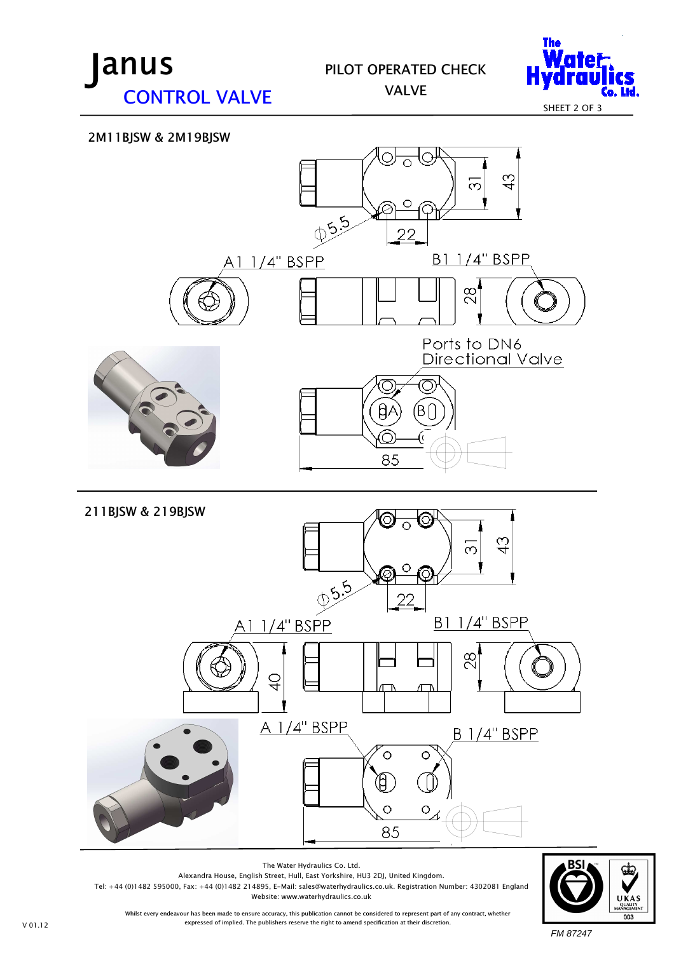

PILOT OPERATED CHECK VALVE



2M11BJSW & 2M19BJSW





FM 87247

Alexandra House, English Street, Hull, East Yorkshire, HU3 2DJ, United Kingdom. Tel: +44 (0)1482 595000, Fax: +44 (0)1482 214895, E-Mail: sales@waterhydraulics.co.uk. Registration Number: 4302081 England Website: www.waterhydraulics.co.uk

The Water Hydraulics Co. Ltd.

Whilst every endeavour has been made to ensure accuracy, this publication cannot be considered to represent part of any contract, whether expressed of implied. The publishers reserve the right to amend specification at their discretion.